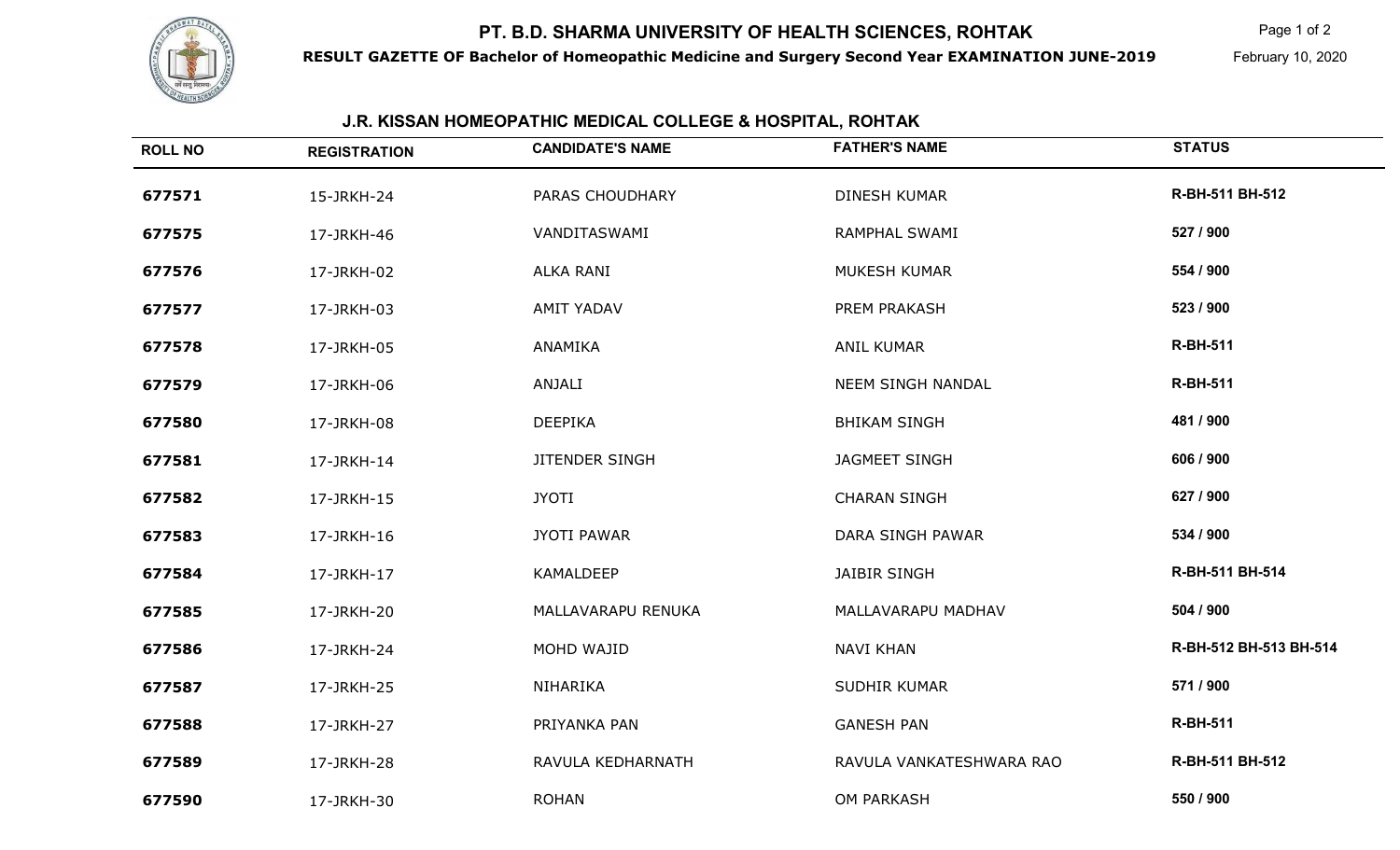## **PT. B.D. SHARMA UNIVERSITY OF HEALTH SCIENCES, ROHTAK**



**RESULT GAZETTE OF Bachelor of Homeopathic Medicine and Surgery Second Year EXAMINATION JUNE-2019**

 $\mathsf K$  Page 1 of 2

February 10, 2020

## **J.R. KISSAN HOMEOPATHIC MEDICAL COLLEGE & HOSPITAL, ROHTAK**

| <b>ROLL NO</b> | <b>REGISTRATION</b> | <b>CANDIDATE'S NAME</b> | <b>FATHER'S NAME</b>     | <b>STATUS</b>          |
|----------------|---------------------|-------------------------|--------------------------|------------------------|
| 677571         | 15-JRKH-24          | PARAS CHOUDHARY         | <b>DINESH KUMAR</b>      | R-BH-511 BH-512        |
| 677575         | 17-JRKH-46          | VANDITASWAMI            | RAMPHAL SWAMI            | 527 / 900              |
| 677576         | 17-JRKH-02          | <b>ALKA RANI</b>        | <b>MUKESH KUMAR</b>      | 554 / 900              |
| 677577         | 17-JRKH-03          | <b>AMIT YADAV</b>       | PREM PRAKASH             | 523 / 900              |
| 677578         | 17-JRKH-05          | ANAMIKA                 | <b>ANIL KUMAR</b>        | <b>R-BH-511</b>        |
| 677579         | 17-JRKH-06          | ANJALI                  | NEEM SINGH NANDAL        | <b>R-BH-511</b>        |
| 677580         | 17-JRKH-08          | <b>DEEPIKA</b>          | <b>BHIKAM SINGH</b>      | 481 / 900              |
| 677581         | 17-JRKH-14          | JITENDER SINGH          | <b>JAGMEET SINGH</b>     | 606 / 900              |
| 677582         | 17-JRKH-15          | <b>JYOTI</b>            | <b>CHARAN SINGH</b>      | 627 / 900              |
| 677583         | 17-JRKH-16          | <b>JYOTI PAWAR</b>      | DARA SINGH PAWAR         | 534 / 900              |
| 677584         | 17-JRKH-17          | KAMALDEEP               | <b>JAIBIR SINGH</b>      | R-BH-511 BH-514        |
| 677585         | 17-JRKH-20          | MALLAVARAPU RENUKA      | MALLAVARAPU MADHAV       | 504 / 900              |
| 677586         | 17-JRKH-24          | MOHD WAJID              | <b>NAVI KHAN</b>         | R-BH-512 BH-513 BH-514 |
| 677587         | 17-JRKH-25          | NIHARIKA                | SUDHIR KUMAR             | 571 / 900              |
| 677588         | 17-JRKH-27          | PRIYANKA PAN            | <b>GANESH PAN</b>        | <b>R-BH-511</b>        |
| 677589         | 17-JRKH-28          | RAVULA KEDHARNATH       | RAVULA VANKATESHWARA RAO | R-BH-511 BH-512        |
| 677590         | 17-JRKH-30          | <b>ROHAN</b>            | <b>OM PARKASH</b>        | 550 / 900              |